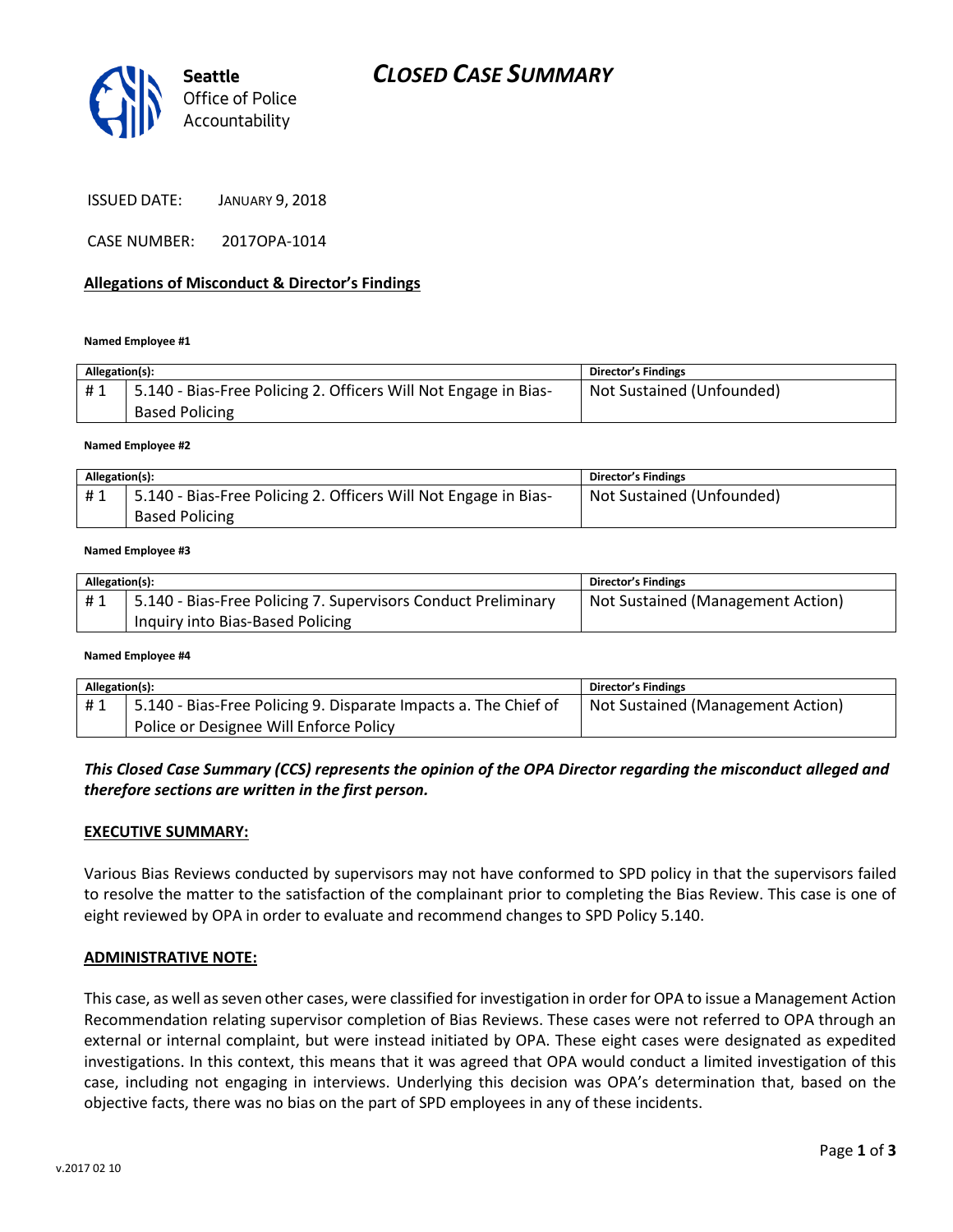

| <b>JANUARY 9, 2018</b> |
|------------------------|
|                        |

CASE NUMBER: 2017OPA-1014

### **Allegations of Misconduct & Director's Findings**

#### **Named Employee #1**

| Allegation(s): |                                                                                          | Director's Findings       |
|----------------|------------------------------------------------------------------------------------------|---------------------------|
| #1             | 5.140 - Bias-Free Policing 2. Officers Will Not Engage in Bias-<br><b>Based Policing</b> | Not Sustained (Unfounded) |

**Named Employee #2**

| Allegation(s): |                                                                 | Director's Findings       |
|----------------|-----------------------------------------------------------------|---------------------------|
| #1             | 5.140 - Bias-Free Policing 2. Officers Will Not Engage in Bias- | Not Sustained (Unfounded) |
|                | <b>Based Policing</b>                                           |                           |

#### **Named Employee #3**

| Allegation(s): |                                                               | <b>Director's Findings</b>        |
|----------------|---------------------------------------------------------------|-----------------------------------|
| #1             | 5.140 - Bias-Free Policing 7. Supervisors Conduct Preliminary | Not Sustained (Management Action) |
|                | Inquiry into Bias-Based Policing                              |                                   |

#### **Named Employee #4**

| Allegation(s): |                                                                 | Director's Findings               |
|----------------|-----------------------------------------------------------------|-----------------------------------|
| #1             | 5.140 - Bias-Free Policing 9. Disparate Impacts a. The Chief of | Not Sustained (Management Action) |
|                | Police or Designee Will Enforce Policy                          |                                   |

# *This Closed Case Summary (CCS) represents the opinion of the OPA Director regarding the misconduct alleged and therefore sections are written in the first person.*

### **EXECUTIVE SUMMARY:**

Various Bias Reviews conducted by supervisors may not have conformed to SPD policy in that the supervisors failed to resolve the matter to the satisfaction of the complainant prior to completing the Bias Review. This case is one of eight reviewed by OPA in order to evaluate and recommend changes to SPD Policy 5.140.

### **ADMINISTRATIVE NOTE:**

This case, as well as seven other cases, were classified for investigation in order for OPA to issue a Management Action Recommendation relating supervisor completion of Bias Reviews. These cases were not referred to OPA through an external or internal complaint, but were instead initiated by OPA. These eight cases were designated as expedited investigations. In this context, this means that it was agreed that OPA would conduct a limited investigation of this case, including not engaging in interviews. Underlying this decision was OPA's determination that, based on the objective facts, there was no bias on the part of SPD employees in any of these incidents.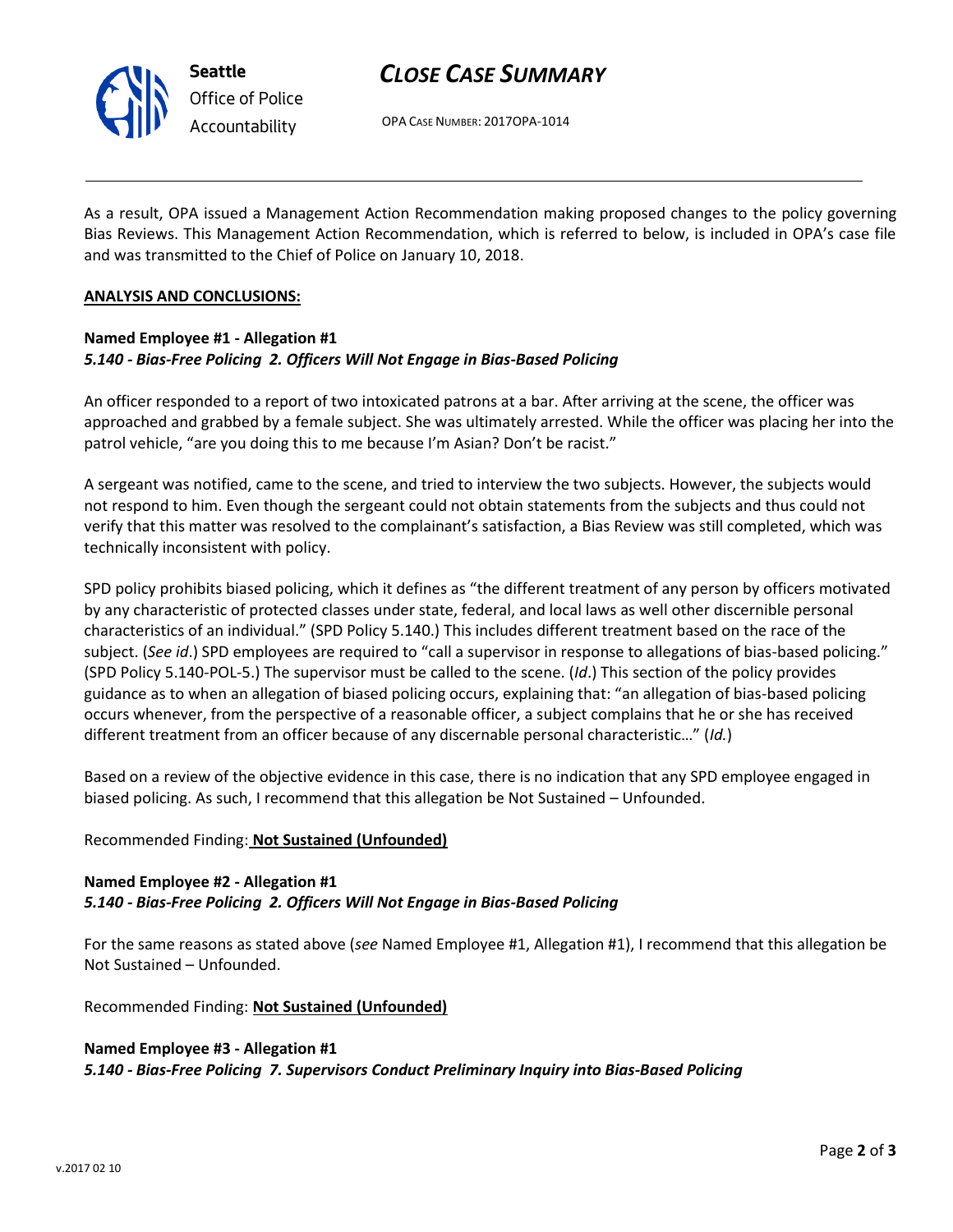

# *CLOSE CASE SUMMARY*

OPA CASE NUMBER: 2017OPA-1014

As a result, OPA issued a Management Action Recommendation making proposed changes to the policy governing Bias Reviews. This Management Action Recommendation, which is referred to below, is included in OPA's case file and was transmitted to the Chief of Police on January 10, 2018.

## **ANALYSIS AND CONCLUSIONS:**

# **Named Employee #1 - Allegation #1** *5.140 - Bias-Free Policing 2. Officers Will Not Engage in Bias-Based Policing*

An officer responded to a report of two intoxicated patrons at a bar. After arriving at the scene, the officer was approached and grabbed by a female subject. She was ultimately arrested. While the officer was placing her into the patrol vehicle, "are you doing this to me because I'm Asian? Don't be racist."

A sergeant was notified, came to the scene, and tried to interview the two subjects. However, the subjects would not respond to him. Even though the sergeant could not obtain statements from the subjects and thus could not verify that this matter was resolved to the complainant's satisfaction, a Bias Review was still completed, which was technically inconsistent with policy.

SPD policy prohibits biased policing, which it defines as "the different treatment of any person by officers motivated by any characteristic of protected classes under state, federal, and local laws as well other discernible personal characteristics of an individual." (SPD Policy 5.140.) This includes different treatment based on the race of the subject. (*See id*.) SPD employees are required to "call a supervisor in response to allegations of bias-based policing." (SPD Policy 5.140-POL-5.) The supervisor must be called to the scene. (*Id*.) This section of the policy provides guidance as to when an allegation of biased policing occurs, explaining that: "an allegation of bias-based policing occurs whenever, from the perspective of a reasonable officer, a subject complains that he or she has received different treatment from an officer because of any discernable personal characteristic…" (*Id.*)

Based on a review of the objective evidence in this case, there is no indication that any SPD employee engaged in biased policing. As such, I recommend that this allegation be Not Sustained – Unfounded.

# Recommended Finding: **Not Sustained (Unfounded)**

# **Named Employee #2 - Allegation #1** *5.140 - Bias-Free Policing 2. Officers Will Not Engage in Bias-Based Policing*

For the same reasons as stated above (*see* Named Employee #1, Allegation #1), I recommend that this allegation be Not Sustained – Unfounded.

Recommended Finding: **Not Sustained (Unfounded)**

# **Named Employee #3 - Allegation #1**

*5.140 - Bias-Free Policing 7. Supervisors Conduct Preliminary Inquiry into Bias-Based Policing*